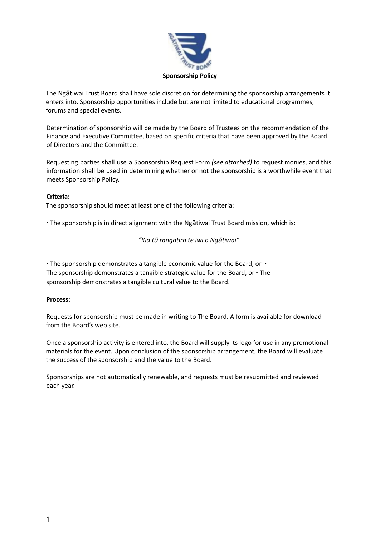

The Ngātiwai Trust Board shall have sole discretion for determining the sponsorship arrangements it enters into. Sponsorship opportunities include but are not limited to educational programmes, forums and special events.

Determination of sponsorship will be made by the Board of Trustees on the recommendation of the Finance and Executive Committee, based on specific criteria that have been approved by the Board of Directors and the Committee.

Requesting parties shall use a Sponsorship Request Form *(see attached)* to request monies, and this information shall be used in determining whether or not the sponsorship is a worthwhile event that meets Sponsorship Policy.

## **Criteria:**

The sponsorship should meet at least one of the following criteria:

∙ The sponsorship is in direct alignment with the Ngātiwai Trust Board mission, which is:

*"Kia tū rangatira te iwi o Ngātiwai"*

∙ The sponsorship demonstrates a tangible economic value for the Board, or ∙ The sponsorship demonstrates a tangible strategic value for the Board, or ∙ The sponsorship demonstrates a tangible cultural value to the Board.

## **Process:**

Requests for sponsorship must be made in writing to The Board. A form is available for download from the Board's web site.

Once a sponsorship activity is entered into, the Board will supply its logo for use in any promotional materials for the event. Upon conclusion of the sponsorship arrangement, the Board will evaluate the success of the sponsorship and the value to the Board.

Sponsorships are not automatically renewable, and requests must be resubmitted and reviewed each year.